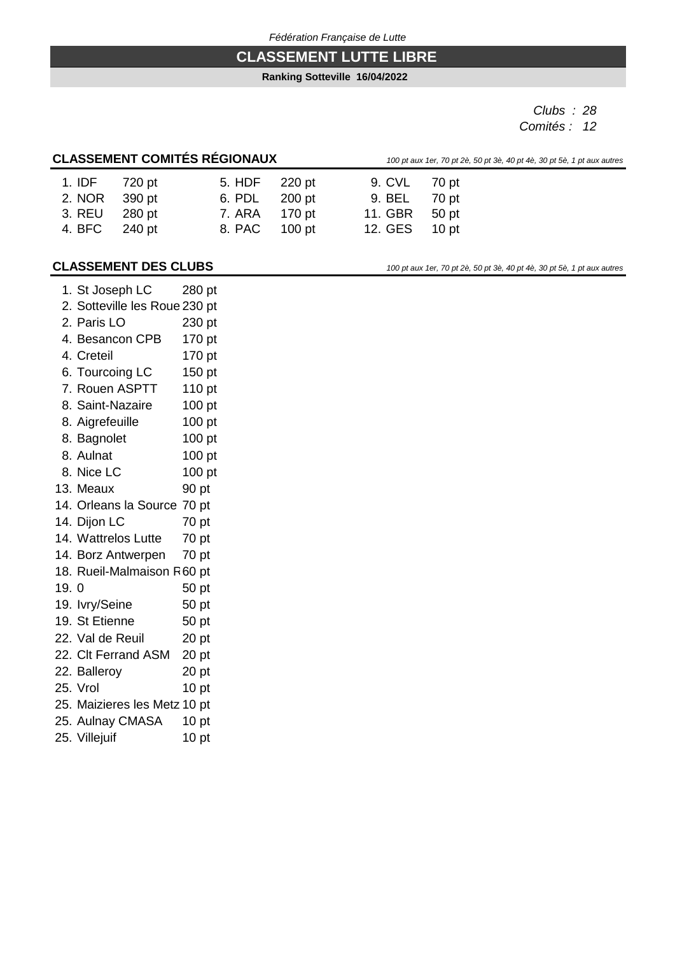## **CLASSEMENT LUTTE LIBRE**

**Ranking Sotteville 16/04/2022**

*Clubs : 28 Comités : 12*

## **CLASSEMENT COMITÉS RÉGIONAUX** *100 pt 4*

|  |  | aux 1er, 70 pt 2è, 50 pt 3è, 40 pt 4è, 30 pt 5è, 1 pt aux autres |
|--|--|------------------------------------------------------------------|

| 1. IDF 720 pt | 5. HDF 220 pt | 9. CVL 70 pt  |  |
|---------------|---------------|---------------|--|
| 2. NOR 390 pt | 6. PDL 200 pt | 9. BEL 70 pt  |  |
| 3. REU 280 pt | 7. ARA 170 pt | 11. GBR 50 pt |  |
| 4. BFC 240 pt | 8. PAC 100 pt | 12. GES 10 pt |  |
|               |               |               |  |

#### **CLASSEMENT DES CLUBS** *100 pt aux 1er, 70 pt 2è, 50 pt 3è, 40 pt 4è, 30 pt 5è, 1 pt aux autres*

|      | 1. St Joseph LC               | 280 pt           |  |
|------|-------------------------------|------------------|--|
|      | 2. Sotteville les Roue 230 pt |                  |  |
|      | 2. Paris LO                   | 230 pt           |  |
|      | 4. Besancon CPB               | 170 pt           |  |
|      | 4. Creteil                    | 170 pt           |  |
|      | 6. Tourcoing LC               | 150 pt           |  |
|      | 7. Rouen ASPTT                | 110 pt           |  |
|      | 8. Saint-Nazaire              | 100 pt           |  |
|      | 8. Aigrefeuille               | 100 pt           |  |
|      | 8. Bagnolet                   | 100 pt           |  |
|      | 8. Aulnat                     | 100 pt           |  |
|      | 8. Nice LC                    | 100 pt           |  |
|      | 13. Meaux                     | 90 pt            |  |
|      | 14. Orleans la Source 70 pt   |                  |  |
|      | 14. Dijon LC                  | 70 pt            |  |
|      | 14. Wattrelos Lutte           | 70 pt            |  |
|      | 14. Borz Antwerpen            | 70 pt            |  |
|      | 18. Rueil-Malmaison R60 pt    |                  |  |
| 19.0 |                               | 50 pt            |  |
|      | 19. lvry/Seine                | 50 pt            |  |
|      | 19. St Etienne                | 50 pt            |  |
|      | 22. Val de Reuil              | 20 <sub>pt</sub> |  |
|      | 22. Clt Ferrand ASM           | 20 <sub>pt</sub> |  |
|      | 22. Balleroy                  | 20 <sub>pt</sub> |  |
|      | 25. Vrol                      | 10 <sub>pt</sub> |  |
|      | 25. Maizieres les Metz 10 pt  |                  |  |
|      | 25. Aulnay CMASA              | 10 <sub>pt</sub> |  |
|      | 25. Villejuif                 | 10 <sub>pt</sub> |  |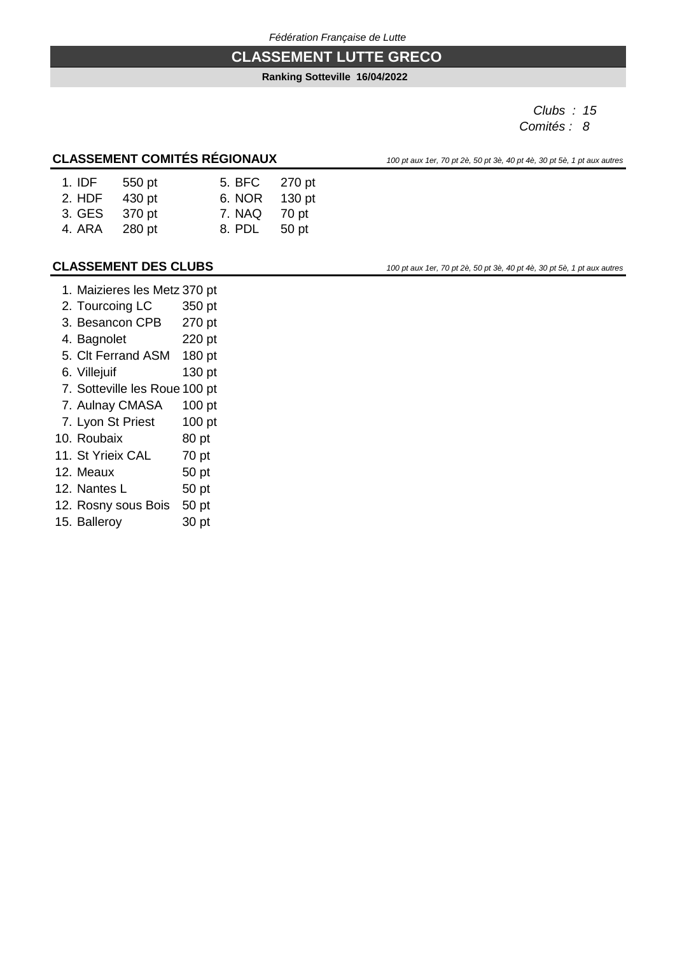#### **CLASSEMENT LUTTE GRECO**

#### **Ranking Sotteville 16/04/2022**

*Clubs : 15 Comités : 8*

## **CLASSEMENT COMITÉS RÉGIONAUX** *100 pt aux 1er, 70 pt 2è, 50 pt 3è, 40 pt 4è, 30 pt 5è, 1 pt aux autres*

| $1.$ IDF | 550 pt | 5. BFC | 270 pt |
|----------|--------|--------|--------|
| 2. HDF   | 430 pt | 6. NOR | 130 pt |
| 3. GES   | 370 pt | 7. NAQ | 70 pt  |
| 4. ARA   | 280 pt | 8. PDL | 50 pt  |

#### **CLASSEMENT DES CLUBS** *100 pt aux 1er, 70 pt 2è, 50 pt 3è, 40 pt 4è, 30 pt 5è, 1 pt aux autres*

- 1. Maizieres les Metz 370 pt
- 2. Tourcoing LC 350 pt
- 3. Besancon CPB 270 pt
- 4. Bagnolet 220 pt
- 5. Clt Ferrand ASM 180 pt
- 6. Villejuif 130 pt
- 7. Sotteville les Roue 100 pt
- 7. Aulnay CMASA 100 pt
- 7. Lyon St Priest 100 pt
- 10. Roubaix 80 pt
- 11. St Yrieix CAL 70 pt
- 12. Meaux 50 pt
- 12. Nantes L 50 pt
- 12. Rosny sous Bois 50 pt
- 15. Balleroy 30 pt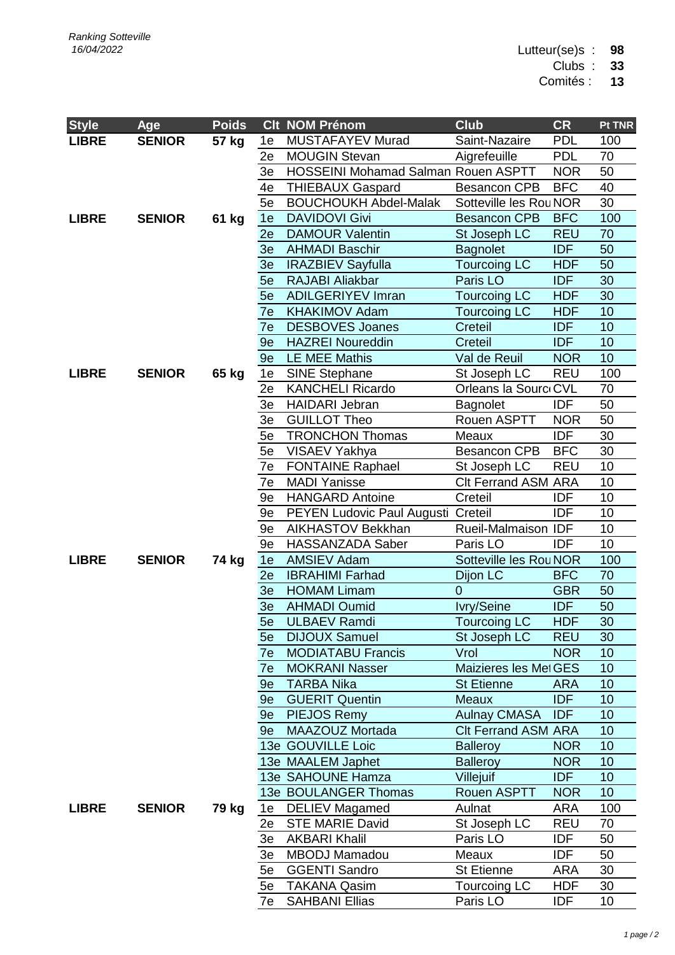Lutteur(se)s : **98**

Clubs : **33**

Comités : **13**

| <b>Style</b> | Age           | <b>Poids</b> |          | <b>Clt NOM Prénom</b>                                | <b>Club</b>                       | <b>CR</b>                | Pt TNR    |
|--------------|---------------|--------------|----------|------------------------------------------------------|-----------------------------------|--------------------------|-----------|
| <b>LIBRE</b> | <b>SENIOR</b> | 57 kg        | 1e       | MUSTAFAYEV Murad                                     | Saint-Nazaire                     | <b>PDL</b>               | 100       |
|              |               |              | 2e       | <b>MOUGIN Stevan</b>                                 | Aigrefeuille                      | <b>PDL</b>               | 70        |
|              |               |              | 3e       | HOSSEINI Mohamad Salman Rouen ASPTT                  |                                   | <b>NOR</b>               | 50        |
|              |               |              | 4e       | <b>THIEBAUX Gaspard</b>                              | <b>Besancon CPB</b>               | <b>BFC</b>               | 40        |
|              |               |              | 5e       | <b>BOUCHOUKH Abdel-Malak</b>                         | Sotteville les Rou NOR            |                          | 30        |
| <b>LIBRE</b> | <b>SENIOR</b> | 61 kg        | 1e       | <b>DAVIDOVI Givi</b>                                 | <b>Besancon CPB</b>               | <b>BFC</b>               | 100       |
|              |               |              | 2e       | <b>DAMOUR Valentin</b>                               | St Joseph LC                      | <b>REU</b>               | 70        |
|              |               |              | 3e       | <b>AHMADI Baschir</b>                                | <b>Bagnolet</b>                   | <b>IDF</b>               | 50        |
|              |               |              | 3e       | <b>IRAZBIEV Sayfulla</b>                             | <b>Tourcoing LC</b>               | <b>HDF</b>               | 50        |
|              |               |              | 5e       | <b>RAJABI Aliakbar</b>                               | Paris LO                          | <b>IDF</b>               | 30        |
|              |               |              | 5e       | <b>ADILGERIYEV Imran</b>                             | <b>Tourcoing LC</b>               | <b>HDF</b>               | 30        |
|              |               |              | 7e       | <b>KHAKIMOV Adam</b>                                 | <b>Tourcoing LC</b>               | <b>HDF</b>               | 10        |
|              |               |              | 7e       | <b>DESBOVES Joanes</b>                               | Creteil                           | <b>IDF</b>               | 10        |
|              |               |              | 9e       | <b>HAZREI Noureddin</b>                              | Creteil                           | <b>IDF</b>               | 10        |
|              |               |              | 9e       | <b>LE MEE Mathis</b>                                 | Val de Reuil                      | <b>NOR</b>               | 10        |
| <b>LIBRE</b> | <b>SENIOR</b> | 65 kg        | 1e       | <b>SINE Stephane</b>                                 | St Joseph LC                      | <b>REU</b>               | 100       |
|              |               |              | 2e       | <b>KANCHELI Ricardo</b>                              | Orleans la Sourc CVL              |                          | 70        |
|              |               |              | 3e       | <b>HAIDARI Jebran</b>                                | <b>Bagnolet</b>                   | <b>IDF</b>               | 50        |
|              |               |              | 3e       | <b>GUILLOT Theo</b>                                  | Rouen ASPTT                       | <b>NOR</b>               | 50        |
|              |               |              | 5e       | <b>TRONCHON Thomas</b>                               | Meaux                             | <b>IDF</b>               | 30        |
|              |               |              | 5e       | VISAEV Yakhya                                        | <b>Besancon CPB</b>               | <b>BFC</b>               | 30        |
|              |               |              | 7e       | <b>FONTAINE Raphael</b>                              | St Joseph LC                      | <b>REU</b>               | 10        |
|              |               |              | 7e       | <b>MADI Yanisse</b>                                  | <b>Clt Ferrand ASM ARA</b>        |                          | 10        |
|              |               |              | 9e       | <b>HANGARD Antoine</b>                               | Creteil                           | <b>IDF</b>               | 10        |
|              |               |              | 9e       | PEYEN Ludovic Paul Augusti Creteil                   |                                   | <b>IDF</b>               | 10        |
|              |               |              | 9e       | AIKHASTOV Bekkhan                                    | Rueil-Malmaison IDF               |                          | 10        |
|              |               |              | 9e       | HASSANZADA Saber                                     | Paris LO                          | <b>IDF</b>               | 10        |
| <b>LIBRE</b> | <b>SENIOR</b> | 74 kg        | 1e       | <b>AMSIEV Adam</b>                                   | Sotteville les RouNOR             |                          | 100       |
|              |               |              | 2e       | <b>IBRAHIMI Farhad</b>                               | Dijon LC                          | <b>BFC</b>               | 70        |
|              |               |              | 3e       | <b>HOMAM Limam</b>                                   | $\overline{0}$                    | <b>GBR</b>               | 50        |
|              |               |              | 3e       | <b>AHMADI Oumid</b>                                  | Ivry/Seine                        | <b>IDF</b>               | 50        |
|              |               |              |          | 5e ULBAEV Ramdi                                      | <b>Tourcoing LC</b>               | <b>HDF</b>               | 30        |
|              |               |              | 5e       | <b>DIJOUX Samuel</b>                                 | St Joseph LC                      | <b>REU</b>               | 30        |
|              |               |              | 7e       | <b>MODIATABU Francis</b>                             | Vrol                              | <b>NOR</b>               | 10        |
|              |               |              | 7e       | <b>MOKRANI Nasser</b>                                | Maizieres les MetGES              |                          | 10        |
|              |               |              | 9e       | <b>TARBA Nika</b>                                    | <b>St Etienne</b>                 | <b>ARA</b>               | 10        |
|              |               |              | 9e       | <b>GUERIT Quentin</b>                                | Meaux                             | <b>IDF</b>               | 10        |
|              |               |              | 9e       | PIEJOS Remy                                          | <b>Aulnay CMASA</b>               | <b>IDF</b>               | 10        |
|              |               |              | 9e       | MAAZOUZ Mortada                                      | <b>CIt Ferrand ASM ARA</b>        |                          | 10        |
|              |               |              |          | 13e GOUVILLE Loic                                    | <b>Balleroy</b>                   | <b>NOR</b>               | 10        |
|              |               |              |          | 13e MAALEM Japhet                                    | <b>Balleroy</b>                   | <b>NOR</b>               | 10        |
|              |               |              |          | 13e SAHOUNE Hamza                                    | Villejuif                         | <b>IDF</b>               | 10        |
| <b>LIBRE</b> | <b>SENIOR</b> |              |          | <b>13e BOULANGER Thomas</b><br><b>DELIEV Magamed</b> | Rouen ASPTT                       | <b>NOR</b>               | 10<br>100 |
|              |               | 79 kg        | 1e       | <b>STE MARIE David</b>                               | Aulnat                            | <b>ARA</b><br><b>REU</b> | 70        |
|              |               |              | 2e<br>3e | <b>AKBARI Khalil</b>                                 | St Joseph LC                      | <b>IDF</b>               | 50        |
|              |               |              |          | <b>MBODJ Mamadou</b>                                 | Paris LO<br>Meaux                 | <b>IDF</b>               |           |
|              |               |              | 3e       |                                                      |                                   |                          | 50<br>30  |
|              |               |              | 5e<br>5e | <b>GGENTI Sandro</b><br><b>TAKANA Qasim</b>          | <b>St Etienne</b><br>Tourcoing LC | ARA<br><b>HDF</b>        | 30        |
|              |               |              | 7e       | <b>SAHBANI Ellias</b>                                | Paris LO                          | <b>IDF</b>               | 10        |
|              |               |              |          |                                                      |                                   |                          |           |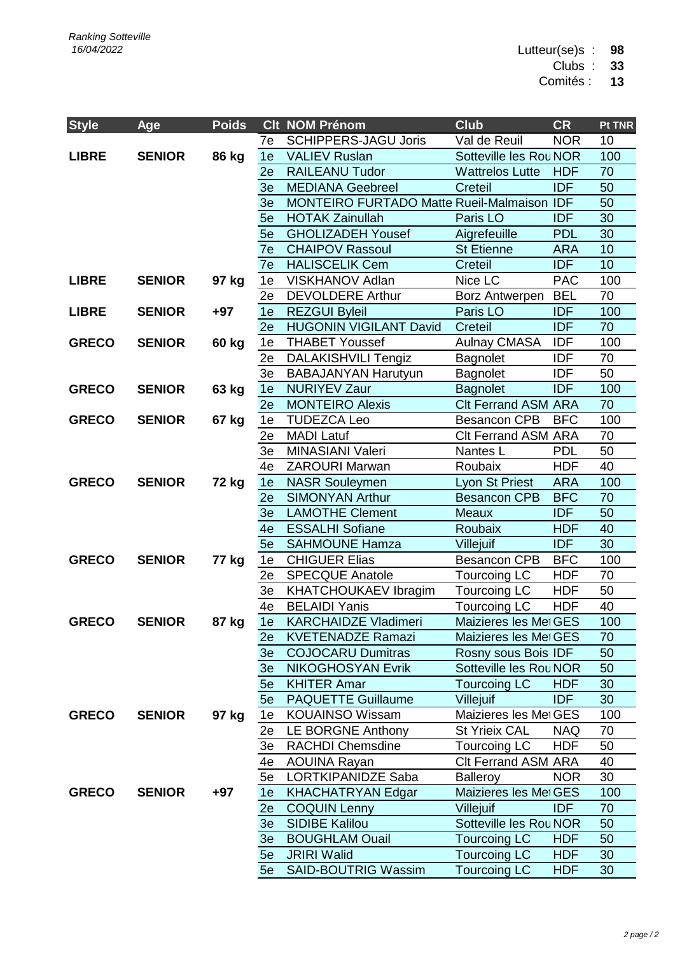Lutteur(se)s : **98**

Clubs : **33**

Comités : **13**

| <b>Style</b> | Age           | <b>Poids</b> |          | <b>Clt NOM Prénom</b>                           | <b>Club</b>                         | <b>CR</b>                | Pt TNR    |
|--------------|---------------|--------------|----------|-------------------------------------------------|-------------------------------------|--------------------------|-----------|
|              |               |              | 7e       | <b>SCHIPPERS-JAGU Joris</b>                     | Val de Reuil                        | <b>NOR</b>               | 10        |
| <b>LIBRE</b> | <b>SENIOR</b> | <b>86 kg</b> | 1e       | <b>VALIEV Ruslan</b>                            | Sotteville les Rou NOR              |                          | 100       |
|              |               |              | 2e       | <b>RAILEANU Tudor</b>                           | <b>Wattrelos Lutte</b>              | <b>HDF</b>               | 70        |
|              |               |              | 3e       | <b>MEDIANA Geebreel</b>                         | Creteil                             | <b>IDF</b>               | 50        |
|              |               |              | 3e       | MONTEIRO FURTADO Matte Rueil-Malmaison IDF      |                                     |                          | 50        |
|              |               |              | 5e       | <b>HOTAK Zainullah</b>                          | Paris LO                            | <b>IDF</b>               | 30        |
|              |               |              | 5e       | <b>GHOLIZADEH Yousef</b>                        | Aigrefeuille                        | <b>PDL</b>               | 30        |
|              |               |              | 7e       | <b>CHAIPOV Rassoul</b>                          | <b>St Etienne</b>                   | <b>ARA</b>               | 10        |
|              |               |              | 7e       | <b>HALISCELIK Cem</b>                           | Creteil                             | <b>IDF</b>               | 10        |
| <b>LIBRE</b> | <b>SENIOR</b> | 97 kg        | 1e       | VISKHANOV Adlan                                 | Nice LC                             | <b>PAC</b>               | 100       |
|              |               |              | 2e       | <b>DEVOLDERE Arthur</b>                         | <b>Borz Antwerpen</b>               | <b>BEL</b>               | 70        |
| <b>LIBRE</b> | <b>SENIOR</b> | $+97$        | 1e       | <b>REZGUI Byleil</b>                            | Paris LO                            | <b>IDF</b>               | 100       |
|              |               |              | 2e       | <b>HUGONIN VIGILANT David</b>                   | Creteil                             | <b>IDF</b>               | 70        |
| <b>GRECO</b> | <b>SENIOR</b> | 60 kg        | 1e       | <b>THABET Youssef</b>                           | <b>Aulnay CMASA</b>                 | <b>IDF</b>               | 100       |
|              |               |              | 2e       | DALAKISHVILI Tengiz                             | <b>Bagnolet</b>                     | <b>IDF</b>               | 70        |
|              |               |              | 3e       | <b>BABAJANYAN Harutyun</b>                      | Bagnolet                            | <b>IDF</b>               | 50        |
| <b>GRECO</b> | <b>SENIOR</b> | 63 kg        | 1e       | <b>NURIYEV Zaur</b>                             | <b>Bagnolet</b>                     | <b>IDF</b>               | 100       |
|              |               |              | 2e       | <b>MONTEIRO Alexis</b>                          | <b>Clt Ferrand ASM ARA</b>          |                          | 70        |
| <b>GRECO</b> | <b>SENIOR</b> | 67 kg        | 1e       | <b>TUDEZCA Leo</b>                              | <b>Besancon CPB</b>                 | <b>BFC</b>               | 100       |
|              |               |              | 2e       | <b>MADI Latuf</b>                               | <b>CIt Ferrand ASM ARA</b>          |                          | 70        |
|              |               |              | 3e       | MINASIANI Valeri                                | Nantes L                            | <b>PDL</b>               | 50        |
|              |               |              | 4e       | <b>ZAROURI Marwan</b>                           | Roubaix                             | <b>HDF</b>               | 40        |
| <b>GRECO</b> | <b>SENIOR</b> | 72 kg        | 1e       | <b>NASR Souleymen</b>                           | Lyon St Priest                      | <b>ARA</b>               | 100       |
|              |               |              | 2e       | <b>SIMONYAN Arthur</b>                          | <b>Besancon CPB</b>                 | <b>BFC</b>               | 70        |
|              |               |              | 3e       | <b>LAMOTHE Clement</b>                          | Meaux                               | <b>IDF</b>               | 50        |
|              |               |              | 4e       | <b>ESSALHI Sofiane</b><br><b>SAHMOUNE Hamza</b> | Roubaix<br>Villejuif                | <b>HDF</b><br><b>IDF</b> | 40<br>30  |
| <b>GRECO</b> | <b>SENIOR</b> |              | 5e       |                                                 |                                     | <b>BFC</b>               |           |
|              |               | 77 kg        | 1e<br>2e | <b>CHIGUER Elias</b><br><b>SPECQUE Anatole</b>  | <b>Besancon CPB</b>                 | <b>HDF</b>               | 100<br>70 |
|              |               |              | 3e       | <b>KHATCHOUKAEV Ibragim</b>                     | Tourcoing LC<br><b>Tourcoing LC</b> | <b>HDF</b>               | 50        |
|              |               |              | 4e       | <b>BELAIDI Yanis</b>                            | <b>Tourcoing LC</b>                 | <b>HDF</b>               | 40        |
| <b>GRECO</b> | <b>SENIOR</b> | 87 kg        | 1e       | <b>KARCHAIDZE Vladimeri</b>                     | Maizieres les Met GES               |                          | 100       |
|              |               |              | 2e       | <b>KVETENADZE Ramazi</b>                        | Maizieres les Met GES               |                          | 70        |
|              |               |              | 3e       | <b>COJOCARU Dumitras</b>                        | Rosny sous Bois IDF                 |                          | 50        |
|              |               |              | 3e       | <b>NIKOGHOSYAN Evrik</b>                        | Sotteville les Rou NOR              |                          | 50        |
|              |               |              | 5e       | <b>KHITER Amar</b>                              | <b>Tourcoing LC</b>                 | <b>HDF</b>               | 30        |
|              |               |              | 5e       | <b>PAQUETTE Guillaume</b>                       | Villejuif                           | <b>IDF</b>               | 30        |
| <b>GRECO</b> | <b>SENIOR</b> | 97 kg        | 1e       | <b>KOUAINSO Wissam</b>                          | Maizieres les Met GES               |                          | 100       |
|              |               |              | 2e       | LE BORGNE Anthony                               | <b>St Yrieix CAL</b>                | <b>NAQ</b>               | 70        |
|              |               |              | 3e       | <b>RACHDI Chemsdine</b>                         | Tourcoing LC                        | <b>HDF</b>               | 50        |
|              |               |              | 4e       | <b>AOUINA Rayan</b>                             | <b>Clt Ferrand ASM ARA</b>          |                          | 40        |
|              |               |              | 5e       | <b>LORTKIPANIDZE Saba</b>                       | <b>Balleroy</b>                     | <b>NOR</b>               | 30        |
| <b>GRECO</b> | <b>SENIOR</b> | $+97$        | 1e       | <b>KHACHATRYAN Edgar</b>                        | Maizieres les Met GES               |                          | 100       |
|              |               |              | 2e       | <b>COQUIN Lenny</b>                             | Villejuif                           | <b>IDF</b>               | 70        |
|              |               |              | 3e       | <b>SIDIBE Kalilou</b>                           | Sotteville les Rou NOR              |                          | 50        |
|              |               |              | 3e       | <b>BOUGHLAM Ouail</b>                           | <b>Tourcoing LC</b>                 | <b>HDF</b>               | 50        |
|              |               |              | 5e       | <b>JRIRI Walid</b>                              | <b>Tourcoing LC</b>                 | <b>HDF</b>               | 30        |
|              |               |              | 5e       | <b>SAID-BOUTRIG Wassim</b>                      | <b>Tourcoing LC</b>                 | <b>HDF</b>               | 30        |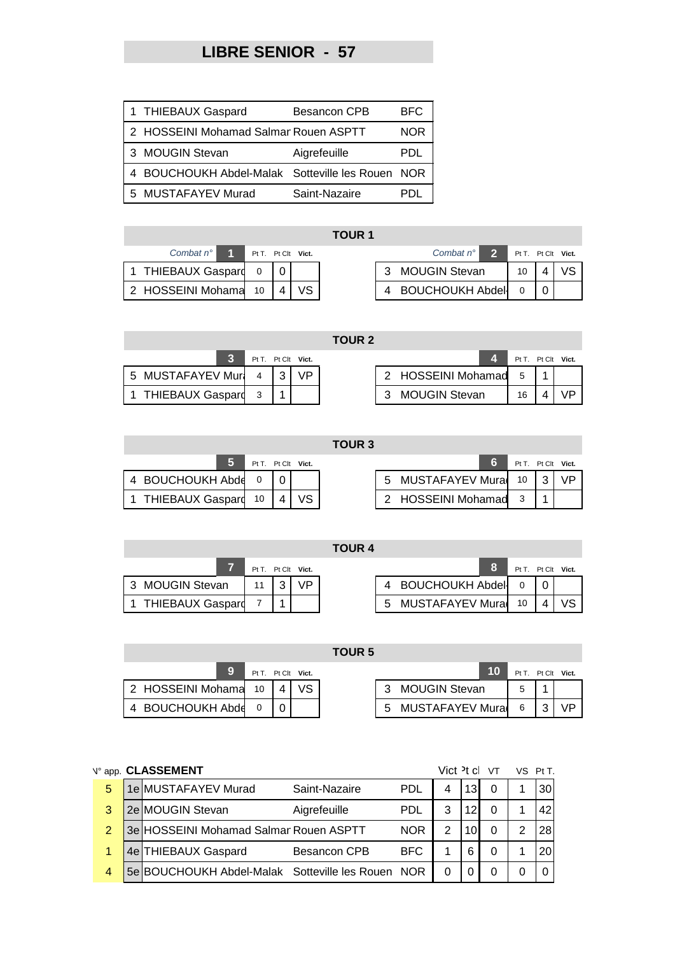# **LIBRE SENIOR - 57**

| 1 THIEBAUX Gaspard                               | <b>Besancon CPB</b> | <b>BFC</b> |
|--------------------------------------------------|---------------------|------------|
| 2 HOSSEINI Mohamad Salmar Rouen ASPTT            |                     | <b>NOR</b> |
| 3 MOUGIN Stevan                                  | Aigrefeuille        | PDI.       |
| 4 BOUCHOUKH Abdel-Malak Sotteville les Rouen NOR |                     |            |
| 5 MUSTAFAYEV Murad                               | Saint-Nazaire       | ורויי      |

| Combat $n^{\circ}$            | Pt T. Pt Clt Vict. |  |  | Combat $n^{\circ}$ 2  | $PtT.$ Pt (     |                |
|-------------------------------|--------------------|--|--|-----------------------|-----------------|----------------|
| 1 THIEBAUX Gaspard 0 0        |                    |  |  | <b>MOUGIN Stevan</b>  | 10 <sup>1</sup> | $\overline{1}$ |
| 2 HOSSEINI Mohama 10   4   VS |                    |  |  | 4 BOUCHOUKH Abdel 0 0 |                 |                |

| <b>TOUR 1</b>        |                      |  |     |  |  |                      |                    |  |  |  |  |
|----------------------|----------------------|--|-----|--|--|----------------------|--------------------|--|--|--|--|
| Combat $n^{\circ}$ 1 | Pt T. Pt Clt Vict.   |  |     |  |  | Combat $n^{\circ}$ 2 | Pt T. Pt Clt Vict. |  |  |  |  |
| 1 THIEBAUX Gaspard   | $\overline{0}$       |  |     |  |  | 3 MOUGIN Stevan      | 10                 |  |  |  |  |
| 2 HOSSEINI Mohama    | $-10$ $\blacksquare$ |  | VS. |  |  | 4 BOUCHOUKH Abdel    |                    |  |  |  |  |

**TOUR 2**

|                      |  | Pt T. Pt Clt Vict. |                      | Pt T. Pt Clt Vict. |       |
|----------------------|--|--------------------|----------------------|--------------------|-------|
| 5 MUSTAFAYEV Mur 4 3 |  | <b>VP</b>          | 2 HOSSEINI Mohamad 5 |                    |       |
| 1 THIEBAUX Gaspard 3 |  |                    | 3 MOUGIN Stevan      | 16                 | \ / D |

|      | Pt T. Pt Clt Vict. |  |  |                      | Pt T. Pt Clt Vict. |  |
|------|--------------------|--|--|----------------------|--------------------|--|
| /lur |                    |  |  | 2 HOSSEINI Mohamad 5 |                    |  |
| bar  |                    |  |  | <b>MOUGIN Stevan</b> |                    |  |

|                         |          |                    | u vun J |                    |              |  |
|-------------------------|----------|--------------------|---------|--------------------|--------------|--|
|                         |          | Pt T. Pt Clt Vict. |         |                    | $PtT.$ Pt C  |  |
| 4 BOUCHOUKH Abde        | $\Omega$ |                    |         | 5 MUSTAFAYEV Mura  | 10 3         |  |
| <b>THIEBAUX Gaspard</b> | 10       |                    |         | 2 HOSSEINI Mohamad | $\mathbf{r}$ |  |

|                       |                    |  | TOUR 3 |                    |                    |           |
|-----------------------|--------------------|--|--------|--------------------|--------------------|-----------|
| 5                     | Pt T. Pt Clt Vict. |  |        |                    | Pt T. Pt Clt Vict. |           |
| 4 BOUCHOUKH Abde      |                    |  |        | 5 MUSTAFAYEV Mura  | 10                 | <b>VP</b> |
| 1 THIEBAUX Gaspard 10 |                    |  |        | 2 HOSSEINI Mohamad |                    |           |

|                         |                    |    | <b>TOUR 4</b> |                    |    |                    |
|-------------------------|--------------------|----|---------------|--------------------|----|--------------------|
|                         | Pt T. Pt Clt Vict. |    |               |                    |    | Pt T. Pt Clt Vict. |
| 3 MOUGIN Stevan         |                    | VΡ |               | 4 BOUCHOUKH Abdel  |    |                    |
| <b>THIEBAUX Gaspard</b> |                    |    |               | 5 MUSTAFAYEV Mural | 10 |                    |

|                      |  |                    | TOUR 5 |                   |             |   |
|----------------------|--|--------------------|--------|-------------------|-------------|---|
|                      |  | Pt T. Pt Clt Vict. |        | 10                | $P+T$ $P+C$ |   |
| 2 HOSSEINI Mohama 10 |  |                    |        | 3 MOUGIN Stevan   |             |   |
| 4 BOUCHOUKH Abde     |  |                    |        | 5 MUSTAFAYEV Mura | - 6         | 3 |

|                   |                    |  | <b>TOUR 5</b> |                           |    |                    |    |
|-------------------|--------------------|--|---------------|---------------------------|----|--------------------|----|
| 9                 | Pt T. Pt Clt Vict. |  |               |                           | 10 | Pt T. Pt Clt Vict. |    |
| 2 HOSSEINI Mohama | 10                 |  |               | <b>MOUGIN Stevan</b><br>વ |    |                    |    |
| 4 BOUCHOUKH Abde  |                    |  |               | MUSTAFAYEV Mura<br>5      |    | 6                  | VP |

|   | N° app. CLASSEMENT                                |                     |            | Vict <sup>2</sup> t cl |                 | VT | VS | PtT             |
|---|---------------------------------------------------|---------------------|------------|------------------------|-----------------|----|----|-----------------|
| 5 | 1e MUSTAFAYEV Murad                               | Saint-Nazaire       | <b>PDL</b> |                        | 13 <sub>l</sub> |    |    | 30              |
| 3 | 2e MOUGIN Stevan                                  | Aigrefeuille        | <b>PDL</b> | 3                      | $\overline{2}$  |    |    | 42              |
| 2 | 3e HOSSEINI Mohamad Salmar Rouen ASPTT            |                     | <b>NOR</b> | っ                      |                 |    | 2  | 28              |
| 1 | 4e THIEBAUX Gaspard                               | <b>Besancon CPB</b> | <b>BFC</b> |                        | ี               |    |    | 20 <sup>1</sup> |
| 4 | 5e BOUCHOUKH Abdel-Malak Sotteville les Rouen NOR |                     |            |                        |                 |    |    |                 |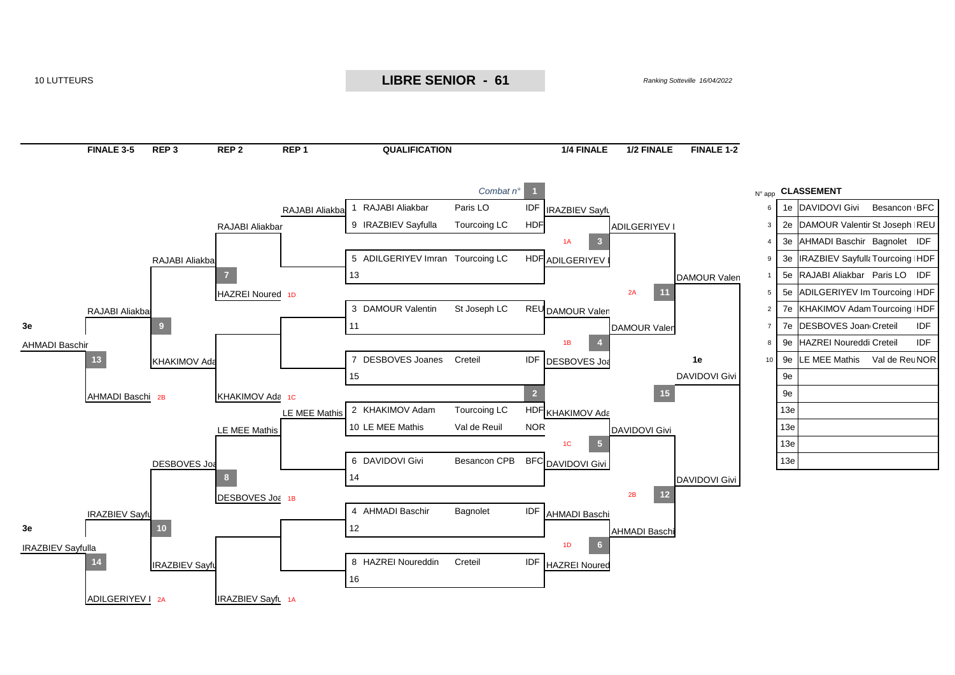

#### 10 LUTTEURS *Ranking Sotteville 16/04/2022* **LIBRE SENIOR - 61**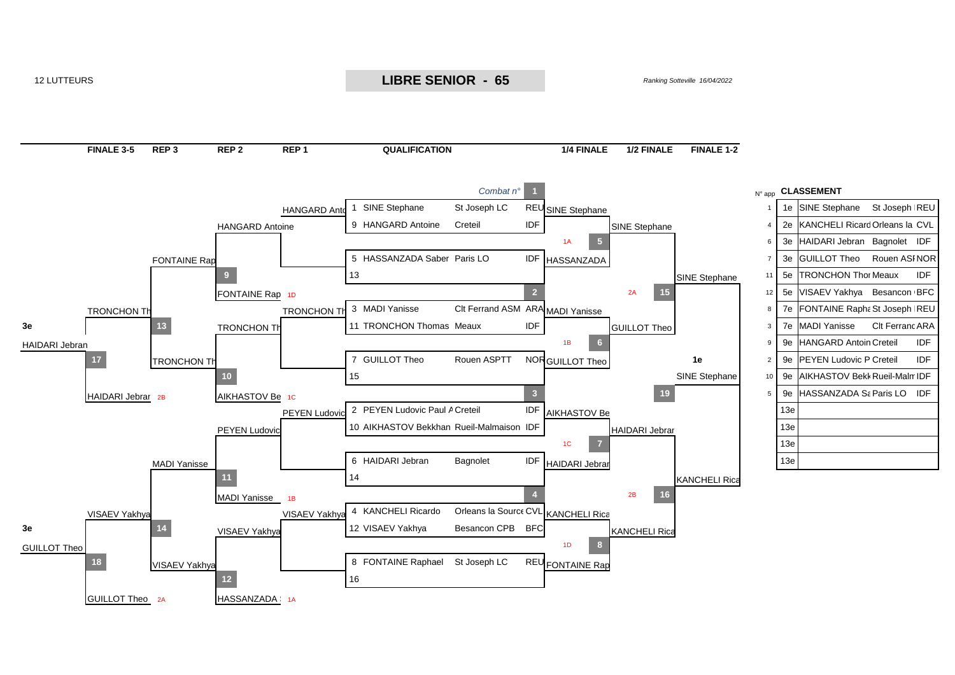

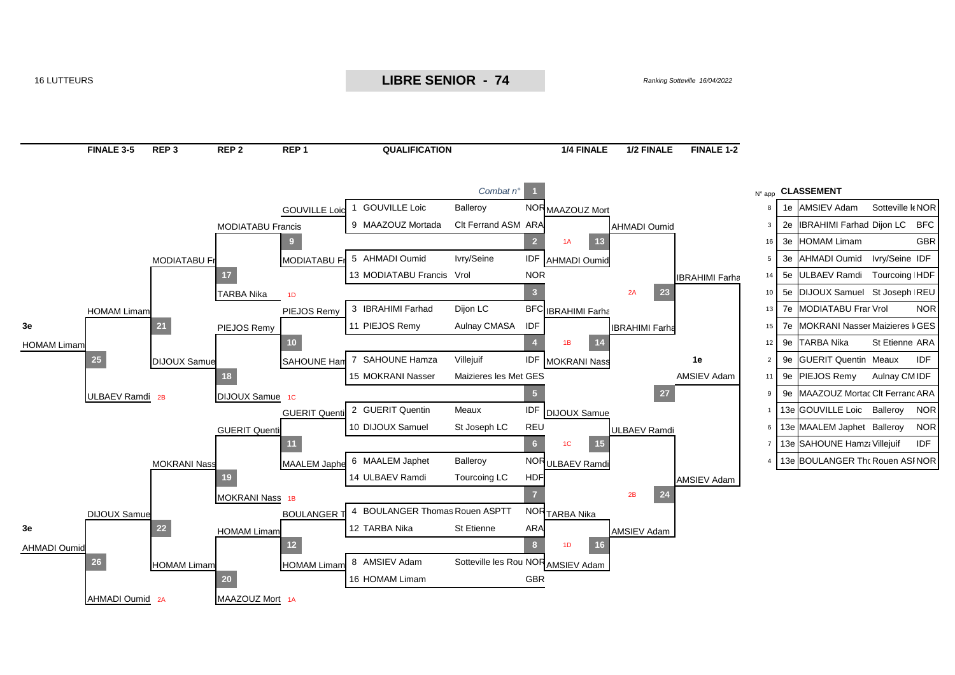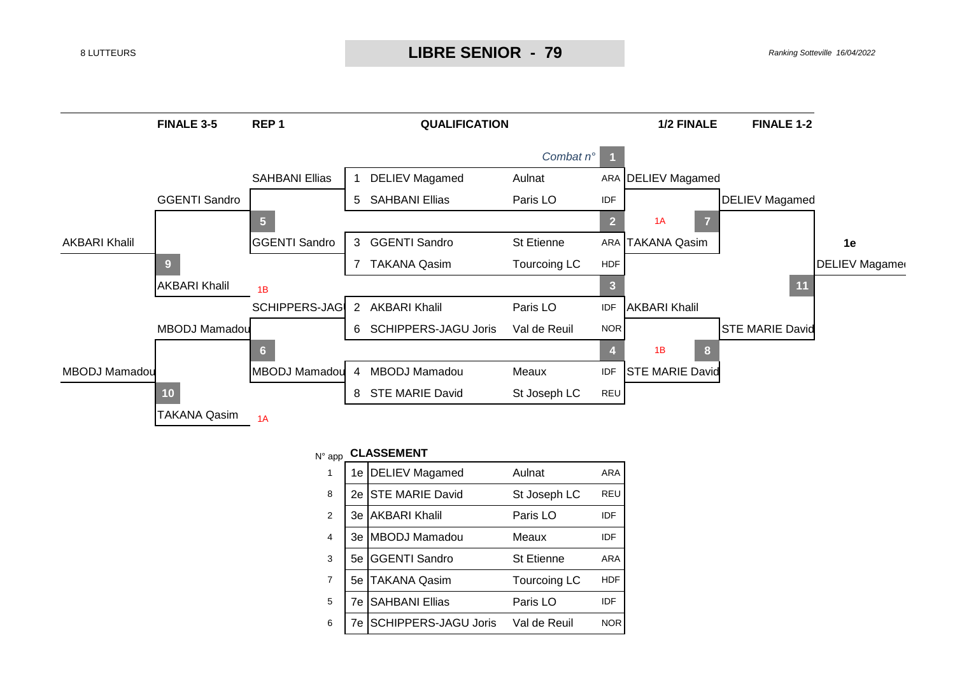

| N° app         |    | <b>CLASSEMENT</b>           |                     |            |
|----------------|----|-----------------------------|---------------------|------------|
| 1              | 1е | <b>DELIEV Magamed</b>       | Aulnat              | ARA        |
| 8              | 2e | <b>STE MARIE David</b>      | St Joseph LC        | <b>REU</b> |
| 2              | Зе | <b>AKBARI Khalil</b>        | Paris LO            | IDF        |
| $\overline{4}$ | 3e | MBODJ Mamadou               | Meaux               | IDF        |
| 3              | 5е | <b>GGENTI Sandro</b>        | <b>St Etienne</b>   | <b>ARA</b> |
| $\overline{7}$ | 5e | <b>TAKANA Qasim</b>         | <b>Tourcoing LC</b> | HDF        |
| 5              | 7e | <b>SAHBANI Ellias</b>       | Paris LO            | IDE        |
| 6              | 7e | <b>SCHIPPERS-JAGU Joris</b> | Val de Reuil        | <b>NOR</b> |
|                |    |                             |                     |            |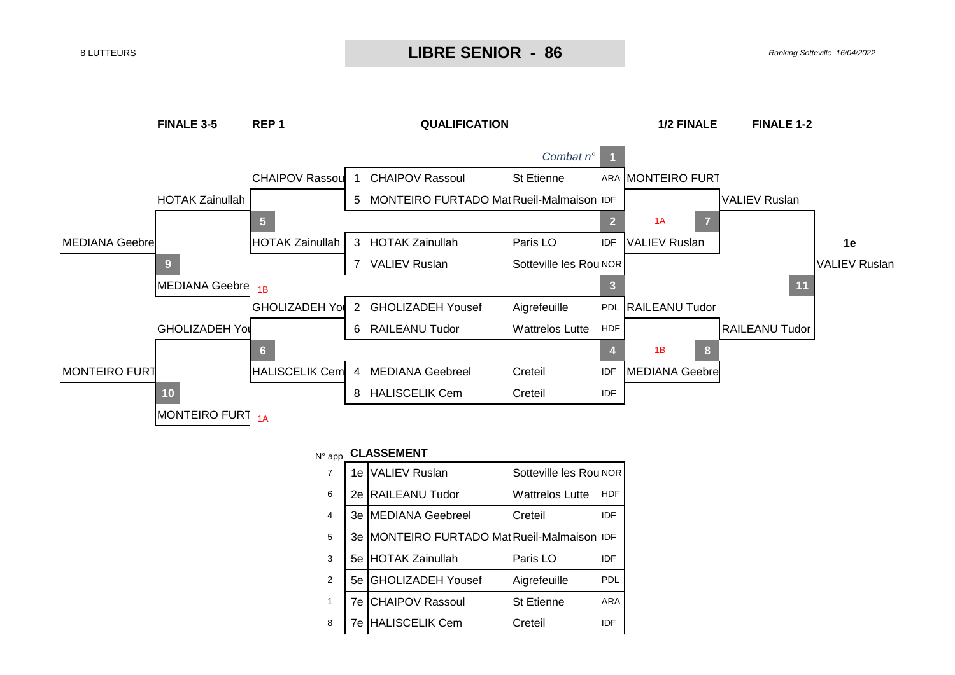

| <b>VALIEV Ruslan</b><br>$\overline{7}$<br>Sotteville les Rou NOR<br>1e.<br><b>RAILEANU Tudor</b><br>6<br><b>Wattrelos Lutte</b><br>2е<br>HDF<br><b>MEDIANA Geebreel</b><br>$\overline{4}$<br>Creteil<br>3e<br>IDF<br>MONTEIRO FURTADO Mat Rueil-Malmaison IDF<br>5<br>3e<br>3<br><b>HOTAK Zainullah</b><br>Paris LO<br>5е<br>IDF<br>$\mathfrak{p}$<br><b>GHOLIZADEH Yousef</b><br>5е<br>Aigrefeuille<br>PDI<br><b>CHAIPOV Rassoul</b><br><b>St Etienne</b><br>$\mathbf{1}$<br>7e<br>ARA<br><b>HALISCELIK Cem</b><br>8<br>Creteil<br>IDE<br>7e | N° app | <b>CLASSEMENT</b> |  |
|-----------------------------------------------------------------------------------------------------------------------------------------------------------------------------------------------------------------------------------------------------------------------------------------------------------------------------------------------------------------------------------------------------------------------------------------------------------------------------------------------------------------------------------------------|--------|-------------------|--|
|                                                                                                                                                                                                                                                                                                                                                                                                                                                                                                                                               |        |                   |  |
|                                                                                                                                                                                                                                                                                                                                                                                                                                                                                                                                               |        |                   |  |
|                                                                                                                                                                                                                                                                                                                                                                                                                                                                                                                                               |        |                   |  |
|                                                                                                                                                                                                                                                                                                                                                                                                                                                                                                                                               |        |                   |  |
|                                                                                                                                                                                                                                                                                                                                                                                                                                                                                                                                               |        |                   |  |
|                                                                                                                                                                                                                                                                                                                                                                                                                                                                                                                                               |        |                   |  |
|                                                                                                                                                                                                                                                                                                                                                                                                                                                                                                                                               |        |                   |  |
|                                                                                                                                                                                                                                                                                                                                                                                                                                                                                                                                               |        |                   |  |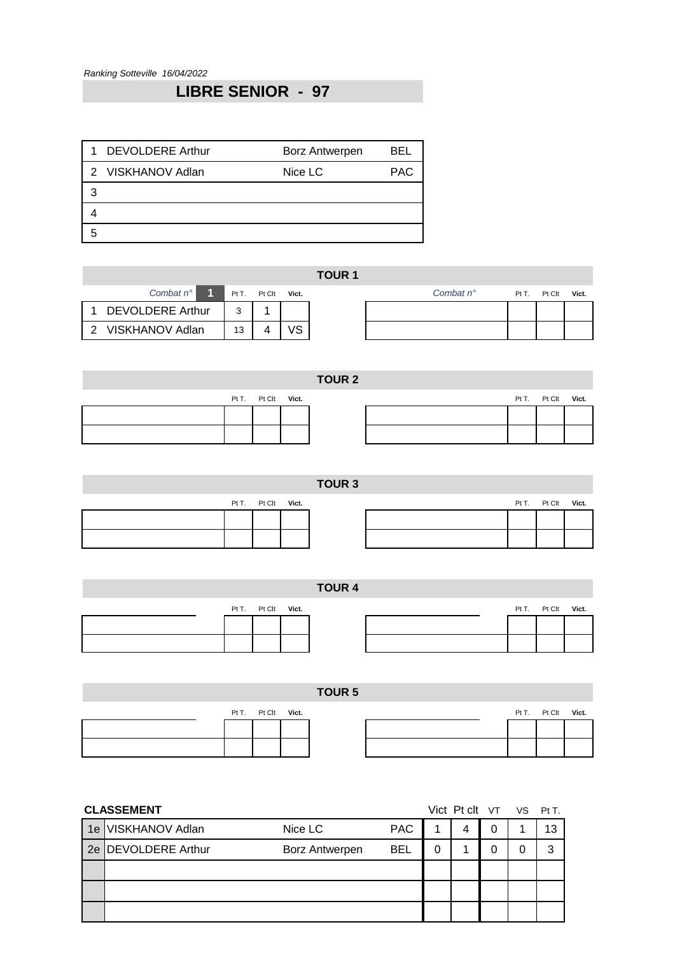## **LIBRE SENIOR - 97**

|   | 1 DEVOLDERE Arthur | <b>Borz Antwerpen</b> | BEL        |
|---|--------------------|-----------------------|------------|
|   | 2 VISKHANOV Adlan  | Nice LC               | <b>PAC</b> |
| З |                    |                       |            |
|   |                    |                       |            |
|   |                    |                       |            |

|                         |       |              | <b>TOUR 1</b> |                    |       |        |       |
|-------------------------|-------|--------------|---------------|--------------------|-------|--------|-------|
| Combat $n^{\circ}$ 1    | Pt T. | Pt Clt Vict. |               | Combat $n^{\circ}$ | Pt T. | Pt Clt | Vict. |
| <b>DEVOLDERE Arthur</b> | ົ     |              |               |                    |       |        |       |
| 2 VISKHANOV Adlan       | 13    |              |               |                    |       |        |       |

|  |                    | <b>TOUR 2</b> |  |                    |  |
|--|--------------------|---------------|--|--------------------|--|
|  | Pt T. Pt Clt Vict. |               |  | Pt T. Pt Clt Vict. |  |
|  |                    |               |  |                    |  |
|  |                    |               |  |                    |  |
|  |                    |               |  |                    |  |

## **TOUR 3**

|  | Pt T. Pt Clt Vict. |  |
|--|--------------------|--|
|  |                    |  |
|  |                    |  |
|  |                    |  |

| Pt T. Pt Clt Vict. |  |  | Pt T. Pt Clt Vict. |  |
|--------------------|--|--|--------------------|--|
|                    |  |  |                    |  |
|                    |  |  |                    |  |
|                    |  |  |                    |  |

|                    | <b>TOUR 4</b> |  |                    |  |
|--------------------|---------------|--|--------------------|--|
| Pt T. Pt Clt Vict. |               |  | Pt T. Pt Clt Vict. |  |
|                    |               |  |                    |  |
|                    |               |  |                    |  |
|                    |               |  |                    |  |

| TOUR <sub>5</sub>                        |  |
|------------------------------------------|--|
| Pt T. Pt Clt Vict.<br>Pt T. Pt Clt Vict. |  |
|                                          |  |
|                                          |  |

|    | <b>CLASSEMENT</b>      |                       |            | Vict Pt clt VT VS Pt T. |   |   |    |
|----|------------------------|-----------------------|------------|-------------------------|---|---|----|
| 1e | <b>VISKHANOV Adlan</b> | Nice LC               | <b>PAC</b> |                         | 4 | 0 | 13 |
|    | 2e   DEVOLDERE Arthur  | <b>Borz Antwerpen</b> | <b>BEL</b> | 0                       |   | 0 | 3  |
|    |                        |                       |            |                         |   |   |    |
|    |                        |                       |            |                         |   |   |    |
|    |                        |                       |            |                         |   |   |    |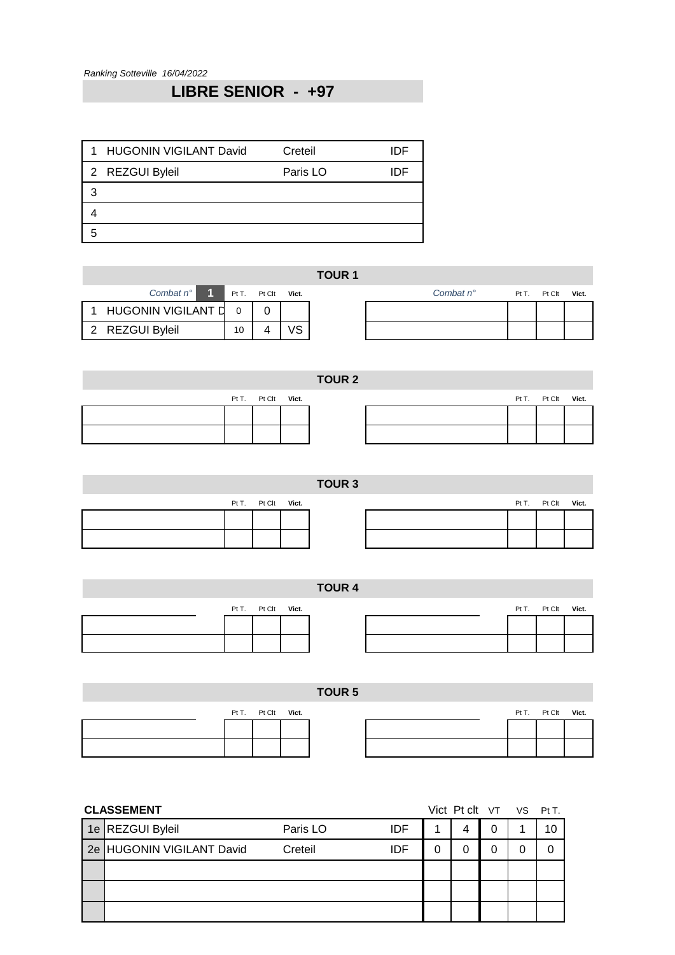# **LIBRE SENIOR - +97**

| 1 HUGONIN VIGILANT David | Creteil  | IDE |
|--------------------------|----------|-----|
| 2 REZGUI Byleil          | Paris LO | IDE |
|                          |          |     |
|                          |          |     |
|                          |          |     |

|                      |    |              |       | <b>TOUR 1</b> |                    |       |        |       |
|----------------------|----|--------------|-------|---------------|--------------------|-------|--------|-------|
| Combat $n^{\circ}$ 1 |    | Pt T. Pt Clt | Vict. |               | Combat $n^{\circ}$ | Pt T. | Pt Clt | Vict. |
| HUGONIN VIGILANT D   |    |              |       |               |                    |       |        |       |
| 2 REZGUI Byleil      | 10 |              |       |               |                    |       |        |       |
|                      |    |              |       |               |                    |       |        |       |

| <b>TOUR 2</b> |  |                    |  |  |  |  |                    |  |  |  |  |
|---------------|--|--------------------|--|--|--|--|--------------------|--|--|--|--|
|               |  | Pt T. Pt Clt Vict. |  |  |  |  | Pt T. Pt Clt Vict. |  |  |  |  |
|               |  |                    |  |  |  |  |                    |  |  |  |  |
|               |  |                    |  |  |  |  |                    |  |  |  |  |

## **TOUR 3**

|  | Pt T. Pt Clt Vict. |  |
|--|--------------------|--|
|  |                    |  |
|  |                    |  |
|  |                    |  |

| Pt T. Pt Clt Vict. |  |  | Pt T. Pt Clt Vict. |  |
|--------------------|--|--|--------------------|--|
|                    |  |  |                    |  |
|                    |  |  |                    |  |

| <b>TOUR 4</b> |  |                    |  |  |  |  |  |                    |  |  |  |
|---------------|--|--------------------|--|--|--|--|--|--------------------|--|--|--|
|               |  | Pt T. Pt Clt Vict. |  |  |  |  |  | Pt T. Pt Clt Vict. |  |  |  |
|               |  |                    |  |  |  |  |  |                    |  |  |  |
|               |  |                    |  |  |  |  |  |                    |  |  |  |
|               |  |                    |  |  |  |  |  |                    |  |  |  |
|               |  |                    |  |  |  |  |  |                    |  |  |  |

|  |                    | <b>TOUR 5</b> |  |                    |  |
|--|--------------------|---------------|--|--------------------|--|
|  | Pt T. Pt Clt Vict. |               |  | Pt T. Pt Clt Vict. |  |
|  |                    |               |  |                    |  |
|  |                    |               |  |                    |  |

| <b>CLASSEMENT</b>         |          | Vict Pt clt VT VS Pt T. |   |   |  |
|---------------------------|----------|-------------------------|---|---|--|
| 1e REZGUI Byleil          | Paris LO | <b>IDF</b>              | 4 |   |  |
| 2e HUGONIN VIGILANT David | Creteil  | IDF                     | 0 | 0 |  |
|                           |          |                         |   |   |  |
|                           |          |                         |   |   |  |
|                           |          |                         |   |   |  |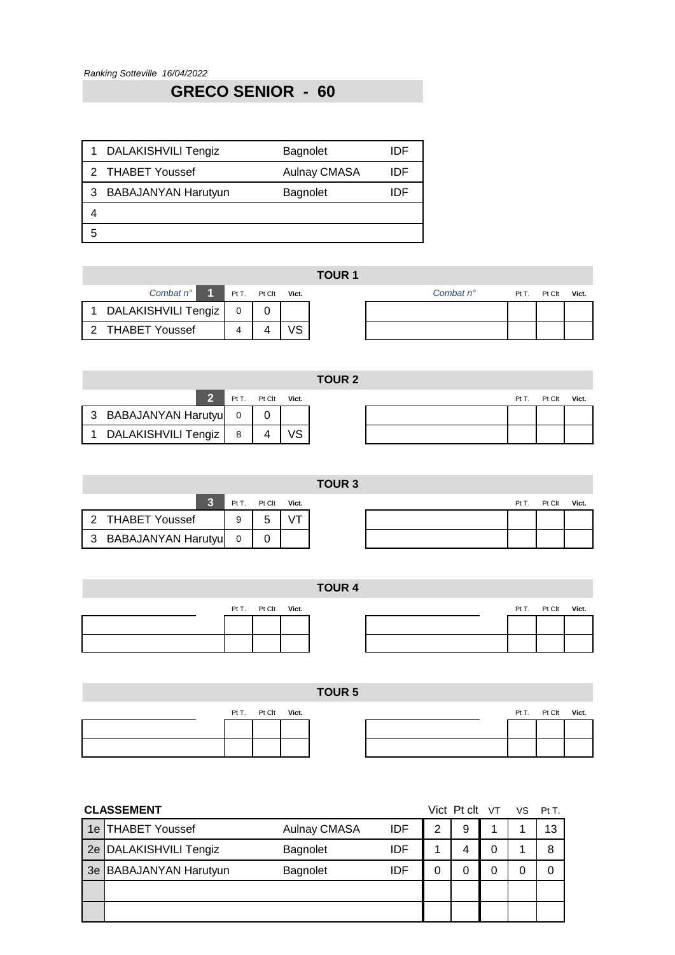# **GRECO SENIOR - 60**

|   | 1 DALAKISHVILI Tengiz | <b>Bagnolet</b>     | IDE |
|---|-----------------------|---------------------|-----|
|   | 2 THABET Youssef      | <b>Aulnay CMASA</b> | IDF |
|   | 3 BABAJANYAN Harutyun | <b>Bagnolet</b>     | IDE |
|   |                       |                     |     |
| 5 |                       |                     |     |

|                                   |  |            | <b>TOUR 1</b> |                    |       |        |       |
|-----------------------------------|--|------------|---------------|--------------------|-------|--------|-------|
| Combat $n^{\circ}$ 1 Pt T. Pt Clt |  | Vict.      |               | Combat $n^{\circ}$ | Pt T. | Pt Clt | Vict. |
| 1 DALAKISHVILI Tengiz             |  |            |               |                    |       |        |       |
| 2 THABET Youssef                  |  | $\sqrt{2}$ |               |                    |       |        |       |

|                      |       |        |       | TOUR <sub>2</sub> |  |      |        |       |
|----------------------|-------|--------|-------|-------------------|--|------|--------|-------|
|                      | Pt T. | Pt Clt | Vict. |                   |  | PtT. | Pt Clt | Vict. |
| 3 BABAJANYAN Harutyu | 0     |        |       |                   |  |      |        |       |
| DALAKISHVILI Tengiz  |       |        | /ς    |                   |  |      |        |       |

|                      |  | Pt T. Pt Clt | Vict. |  |
|----------------------|--|--------------|-------|--|
| 2 THABET Youssef     |  | 5            |       |  |
| 3 BABAJANYAN Harutyu |  |              |       |  |

|      |      |              | TOUR <sub>3</sub> |       |        |       |
|------|------|--------------|-------------------|-------|--------|-------|
| 3    | PtT. | Pt Clt Vict. |                   | Pt T. | Pt Clt | Vict. |
|      | 9    | 5            |                   |       |        |       |
| ıtyu |      |              |                   |       |        |       |

|  |                    | <b>TOUR 4</b> |  |                    |  |
|--|--------------------|---------------|--|--------------------|--|
|  | Pt T. Pt Clt Vict. |               |  | Pt T. Pt Clt Vict. |  |
|  |                    |               |  |                    |  |
|  |                    |               |  |                    |  |
|  |                    |               |  |                    |  |
|  |                    |               |  |                    |  |

|  |                    | <b>TOUR 5</b> |  |  |                    |  |
|--|--------------------|---------------|--|--|--------------------|--|
|  | Pt T. Pt Clt Vict. |               |  |  | Pt T. Pt Clt Vict. |  |
|  |                    |               |  |  |                    |  |
|  |                    |               |  |  |                    |  |

|    | <b>CLASSEMENT</b>          |                     |            |   | Vict Pt clt VT VS |   | Pt T. |
|----|----------------------------|---------------------|------------|---|-------------------|---|-------|
|    | 1e THABET Youssef          | <b>Aulnay CMASA</b> | <b>IDF</b> | 2 | 9                 | 4 | 13    |
|    | 2e   DALAKISHVILI Tengiz   | Bagnolet            | IDF        |   |                   | 0 | 8     |
| 3e | <b>BABAJANYAN Harutyun</b> | <b>Bagnolet</b>     | IDF        |   |                   | 0 | 0     |
|    |                            |                     |            |   |                   |   |       |
|    |                            |                     |            |   |                   |   |       |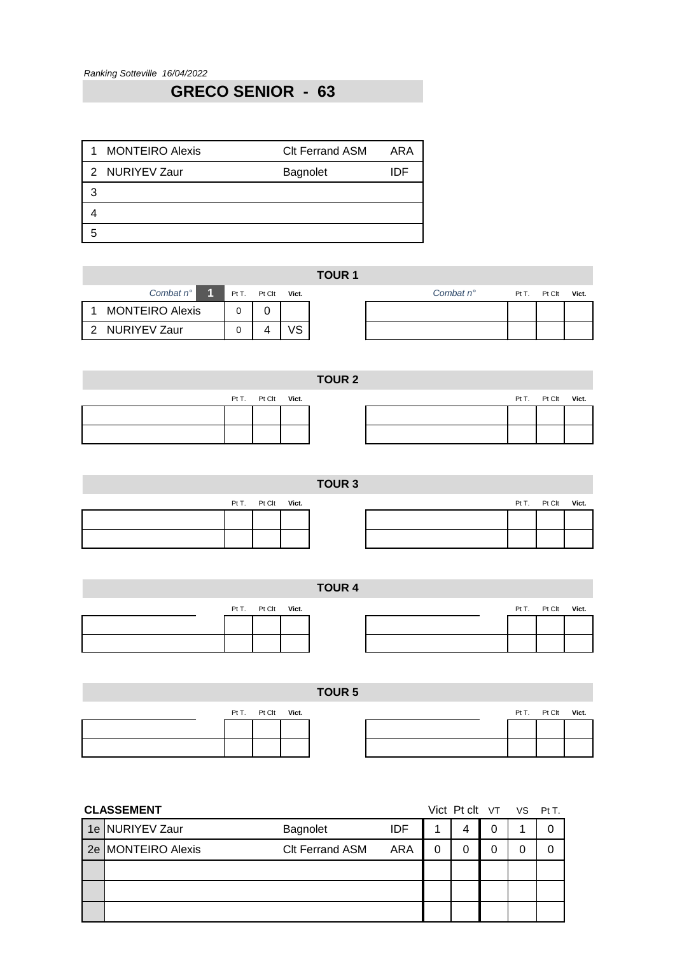# **GRECO SENIOR - 63**

| <b>MONTEIRO Alexis</b><br>1 | <b>CIt Ferrand ASM</b> | ARA |
|-----------------------------|------------------------|-----|
| 2 NURIYEV Zaur              | <b>Bagnolet</b>        | IDE |
| З                           |                        |     |
|                             |                        |     |
|                             |                        |     |

|                        |  |                    |            | <b>TOUR 1</b> |                    |                    |  |
|------------------------|--|--------------------|------------|---------------|--------------------|--------------------|--|
| Combat $n^{\circ}$ 1   |  | Pt T. Pt Clt Vict. |            |               | Combat $n^{\circ}$ | Pt T. Pt Clt Vict. |  |
| <b>MONTEIRO Alexis</b> |  |                    |            |               |                    |                    |  |
| 2 NURIYEV Zaur         |  |                    | $\sqrt{2}$ |               |                    |                    |  |

|  |                    | <b>TOUR 2</b> |  |                    |  |
|--|--------------------|---------------|--|--------------------|--|
|  | Pt T. Pt Clt Vict. |               |  | Pt T. Pt Clt Vict. |  |
|  |                    |               |  |                    |  |
|  |                    |               |  |                    |  |

## **TOUR 3**

|  | Pt T. Pt Clt Vict. |  |
|--|--------------------|--|
|  |                    |  |
|  |                    |  |
|  |                    |  |

| Pt T. Pt Clt Vict. |  |  | Pt T. Pt Clt Vict. |  |
|--------------------|--|--|--------------------|--|
|                    |  |  |                    |  |
|                    |  |  |                    |  |

|  |                    | <b>TOUR 4</b> |  |  |                    |  |
|--|--------------------|---------------|--|--|--------------------|--|
|  | Pt T. Pt Clt Vict. |               |  |  | Pt T. Pt Clt Vict. |  |
|  |                    |               |  |  |                    |  |
|  |                    |               |  |  |                    |  |
|  |                    |               |  |  |                    |  |
|  |                    |               |  |  |                    |  |

|  |                    | TOUR <sub>5</sub> |  |                    |  |
|--|--------------------|-------------------|--|--------------------|--|
|  | Pt T. Pt Clt Vict. |                   |  | Pt T. Pt Clt Vict. |  |
|  |                    |                   |  |                    |  |
|  |                    |                   |  |                    |  |

| <b>CLASSEMENT</b>  |                        |            | Vict Pt clt VT VS Pt T. |   |   |
|--------------------|------------------------|------------|-------------------------|---|---|
| 1e NURIYEV Zaur    | Bagnolet               | <b>IDF</b> | 4                       | 0 | 0 |
| 2e MONTEIRO Alexis | <b>CIt Ferrand ASM</b> | ARA        | 0                       | 0 | 0 |
|                    |                        |            |                         |   |   |
|                    |                        |            |                         |   |   |
|                    |                        |            |                         |   |   |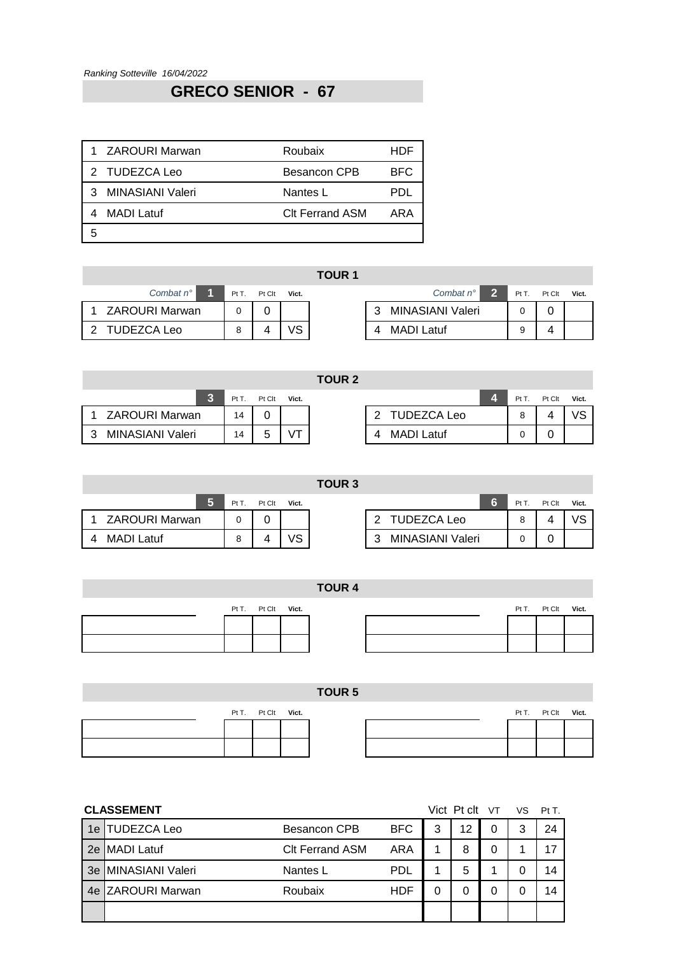## **GRECO SENIOR - 67**

| 1 ZAROURI Marwan   | Roubaix                | HDF        |
|--------------------|------------------------|------------|
| 2 TUDEZCA Leo      | <b>Besancon CPB</b>    | <b>BFC</b> |
| 3 MINASIANI Valeri | Nantes L               | PDI.       |
| MADI Latuf         | <b>CIt Ferrand ASM</b> | ARA        |
|                    |                        |            |

|                    |       |        |       | .                                             |         |     |
|--------------------|-------|--------|-------|-----------------------------------------------|---------|-----|
| Combat $n^{\circ}$ | Pt T. | Pt Clt | Vict. | $\overline{\mathbf{2}}$<br>Combat $n^{\circ}$ | $PtT$ . | PtC |
| 1 ZAROURI Marwan   |       |        |       | MINASIANI Valeri<br>-3                        |         |     |
| 2 TUDEZCA Leo      | 8     |        | √S    | MADI Latuf<br>4                               |         |     |

|                    |       |        |       | <b>TOUR 1</b> |   |                    |                         |       |        |       |
|--------------------|-------|--------|-------|---------------|---|--------------------|-------------------------|-------|--------|-------|
| Combat $n^{\circ}$ | Pt T. | Pt Clt | Vict. |               |   | Combat $n^{\circ}$ | $\overline{\mathbf{z}}$ | Pt T. | Pt Clt | Vict. |
| २। Marwan          |       |        |       |               | 3 | MINASIANI Valeri   |                         |       |        |       |
| CA Leo             | 8     |        | VS    |               |   | <b>MADI Latuf</b>  |                         | 9     |        |       |

|                              |       |        |       | TOUR <sub>2</sub> |       |        |                |
|------------------------------|-------|--------|-------|-------------------|-------|--------|----------------|
|                              | Pt T. | Pt Clt | Vict. |                   | Pt T. | Pt Clt | Vict.          |
| <b>ZAROURI Marwan</b>        | 14    |        |       | TUDEZCA Leo<br>∍  | 8     |        | $\overline{C}$ |
| <b>MINASIANI Valeri</b><br>2 | 14    |        |       | <b>MADI Latuf</b> |       |        |                |

| <b>TOUR 3</b> |
|---------------|
|               |

|   | m              | Pt T | Pt Clt | Vict. |                  | Pt <sub>1</sub> | Pt |
|---|----------------|------|--------|-------|------------------|-----------------|----|
|   | ZAROURI Marwan |      |        |       | TUDEZCA Leo      | 8               |    |
| Δ | MADI Latuf     |      |        | ∨S    | MINASIANI Valeri |                 |    |

|   |                  | Pt T | Pt Clt | Vict. |                  | Pt T. | Pt Clt | Vict. |
|---|------------------|------|--------|-------|------------------|-------|--------|-------|
|   | 1 ZAROURI Marwan |      |        |       | TUDEZCA Leo      |       |        |       |
| 4 | MADI Latuf       |      |        | √S    | MINASIANI Valeri |       |        |       |

|  |                    | <b>TOUR 4</b> |  |                    |  |
|--|--------------------|---------------|--|--------------------|--|
|  | Pt T. Pt Clt Vict. |               |  | Pt T. Pt Clt Vict. |  |
|  |                    |               |  |                    |  |
|  |                    |               |  |                    |  |
|  |                    |               |  |                    |  |
|  |                    |               |  |                    |  |
|  |                    | <b>TOUR 5</b> |  |                    |  |

|  | Pt T. Pt Clt Vict. |  |
|--|--------------------|--|
|  |                    |  |
|  |                    |  |
|  |                    |  |

| Pt T. Pt Clt Vict. |  |  | Pt T. Pt Clt Vict. |  |
|--------------------|--|--|--------------------|--|
|                    |  |  |                    |  |
|                    |  |  |                    |  |

|    | <b>CLASSEMENT</b>      |                        |            |   | Vict Pt clt VT |   | VS | Pt T. |
|----|------------------------|------------------------|------------|---|----------------|---|----|-------|
| 1e | TUDEZCA Leo            | <b>Besancon CPB</b>    | <b>BFC</b> | 3 | 12             | 0 | 3  | 24    |
| 2e | MADI Latuf             | <b>CIt Ferrand ASM</b> | ARA        |   | 8              | 0 |    | 17    |
| 3e | MINASIANI Valeri       | Nantes L               | <b>PDL</b> |   | 5              |   | 0  | 14    |
| 4e | <b>IZAROURI Marwan</b> | Roubaix                | <b>HDF</b> |   |                | O | 0  | 14    |
|    |                        |                        |            |   |                |   |    |       |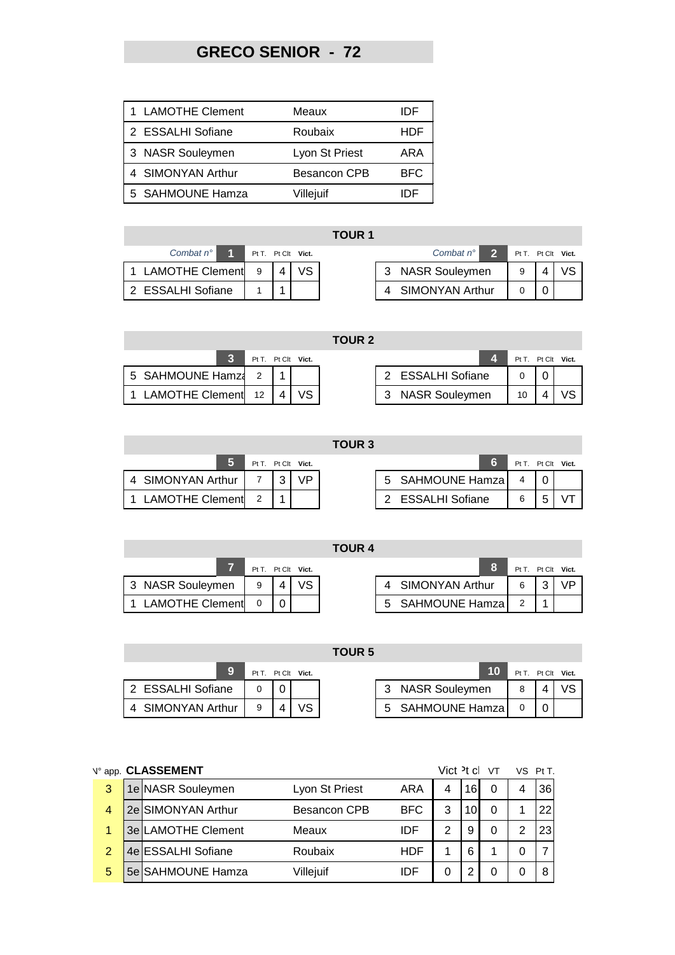# **GRECO SENIOR - 72**

| 1 LAMOTHE Clement | Meaux               | ⊣וו  |
|-------------------|---------------------|------|
| 2 ESSALHI Sofiane | Roubaix             | HDF  |
| 3 NASR Souleymen  | Lyon St Priest      | ARA  |
| 4 SIMONYAN Arthur | <b>Besancon CPB</b> | BFC. |
| 5 SAHMOUNE Hamza  | Villejuif           |      |

| Combat $n^{\circ}$ |  |                        | Pt T. Pt Clt Vict. | Combat $n^{\circ}$ | $\overline{\mathbf{z}}$ | $PtT.$ Pt ( |  |
|--------------------|--|------------------------|--------------------|--------------------|-------------------------|-------------|--|
| LAMOTHE Clement 9  |  | $\boldsymbol{\Lambda}$ |                    | 3 NASR Souleymen   |                         | a           |  |
| 2 ESSALHI Sofiane  |  |                        |                    | 4 SIMONYAN Arthur  |                         |             |  |

|                    |                    |     | <b>TOUR 1</b> |                        |                    |  |
|--------------------|--------------------|-----|---------------|------------------------|--------------------|--|
| Combat $n^{\circ}$ | Pt T. Pt Clt Vict. |     |               | Combat $n^{\circ}$     | Pt T. Pt Clt Vict. |  |
| 1 LAMOTHE Clement  | 9                  | VS. |               | 3 NASR Souleymen       |                    |  |
| 2 ESSALHI Sofiane  |                    |     |               | <b>SIMONYAN Arthur</b> |                    |  |

| <b>TOUR 2</b> |  |
|---------------|--|
|               |  |

|                      |  | Pt T. Pt Clt Vict. |                  |    | Pt T. Pt Clt Vict. |
|----------------------|--|--------------------|------------------|----|--------------------|
| 5 SAHMOUNE Hamza 2   |  |                    | ESSALHI Sofiane  |    |                    |
| 1 LAMOTHE Clement 12 |  |                    | 3 NASR Souleymen | 10 |                    |

|                        |   |   |                    | uun j |                   |     |    |
|------------------------|---|---|--------------------|-------|-------------------|-----|----|
|                        |   |   | Pt T. Pt Clt Vict. |       |                   | PtT | Pt |
| 4 SIMONYAN Arthur      |   | ີ |                    |       | 5 SAHMOUNE Hamza  |     |    |
| <b>LAMOTHE Clement</b> | 2 |   |                    |       | 2 ESSALHI Sofiane | R   | 5  |

|                   |                    |  | TOUR <sub>3</sub> |                   |                    |  |
|-------------------|--------------------|--|-------------------|-------------------|--------------------|--|
|                   | Pt T. Pt Clt Vict. |  |                   |                   | Pt T. Pt Clt Vict. |  |
| 4 SIMONYAN Arthur |                    |  |                   | 5 SAHMOUNE Hamza  |                    |  |
| 1 LAMOTHE Clement |                    |  |                   | 2 ESSALHI Sofiane | 6                  |  |

|                        | Pt T. Pt Clt Vict. |     |  | Pt T. Pt Clt Vict. |  |  |
|------------------------|--------------------|-----|--|--------------------|--|--|
| 3 NASR Souleymen       | 9                  | VS. |  | 4 SIMONYAN Arthur  |  |  |
| <b>LAMOTHE Clement</b> |                    |     |  | 5 SAHMOUNE Hamza   |  |  |

|                        |   |                    | <b>TOUR 5</b> |   |                       |                    |    |
|------------------------|---|--------------------|---------------|---|-----------------------|--------------------|----|
| 9                      |   | Pt T. Pt Clt Vict. |               |   |                       | Pt T. Pt Clt Vict. |    |
| 2 ESSALHI Sofiane      |   |                    |               | 3 | <b>NASR Souleymen</b> | 8                  | /S |
| <b>SIMONYAN Arthur</b> | 9 | VS.                |               |   | 5 SAHMOUNE Hamza      |                    |    |

|                | N° app. CLASSEMENT |                     |            | Vict $\overline{P}$ t cl |     | VT | VS Pt T. |
|----------------|--------------------|---------------------|------------|--------------------------|-----|----|----------|
| 3              | 1e NASR Souleymen  | Lyon St Priest      | ARA        | 4                        | 161 | 0  | 36       |
| 4              | 2e SIMONYAN Arthur | <b>Besancon CPB</b> | <b>BFC</b> | 3                        |     |    | 22       |
| 1              | 3e LAMOTHE Clement | Meaux               | IDF        | 2                        |     |    | 23       |
| $\overline{2}$ | 4e ESSALHI Sofiane | Roubaix             | HDF        |                          | 6   |    |          |
| 5              | 5e SAHMOUNE Hamza  | Villejuif           | IDE        |                          |     |    |          |

П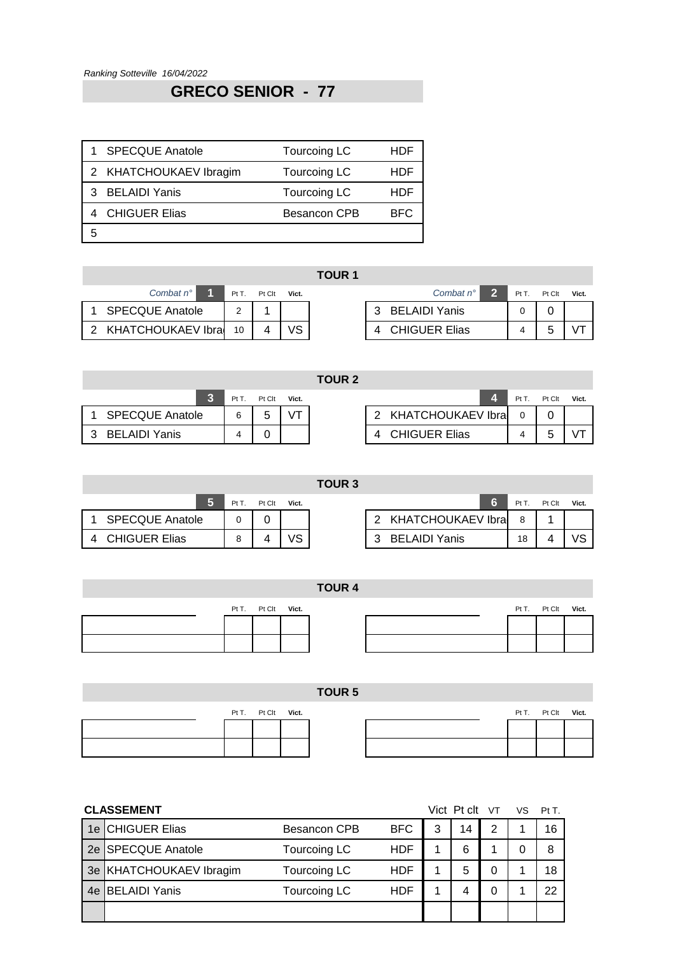# **GRECO SENIOR - 77**

|   | <b>SPECQUE Anatole</b> | Tourcoing LC        | HDF        |
|---|------------------------|---------------------|------------|
|   | 2 KHATCHOUKAEV Ibragim | Tourcoing LC        | HDF        |
|   | 3 BELAIDI Yanis        | Tourcoing LC        | HDF        |
|   | 4 CHIGUER Elias        | <b>Besancon CPB</b> | <b>BEC</b> |
| 5 |                        |                     |            |

| Combat $n^{\circ}$     | Pt T. Pt Clt   | Vict. |                 | Combat $n^{\circ}$ | Pt T. Pt 0 |   |
|------------------------|----------------|-------|-----------------|--------------------|------------|---|
| 1 SPECQUE Anatole      |                |       | 3 BELAIDI Yanis |                    |            |   |
| 2 KHATCHOUKAEV Ibra 10 | $\overline{4}$ |       | 4 CHIGUER Elias |                    |            | 5 |

|                     |                 |        |           | <b>TOUR 1</b> |                           |       |        |       |
|---------------------|-----------------|--------|-----------|---------------|---------------------------|-------|--------|-------|
| Combat $n^{\circ}$  | PtT.            | Pt Clt | Vict.     |               | Combat $n^{\circ}$        | Pt T. | Pt Clt | Vict. |
| 1 SPECQUE Anatole   |                 |        |           |               | <b>BELAIDI Yanis</b><br>3 |       |        |       |
| 2 KHATCHOUKAEV Ibra | 10 <sup>1</sup> |        | <b>VS</b> |               | <b>CHIGUER Elias</b>      |       |        |       |

| TOUR 2 |  |
|--------|--|
|--------|--|

|                        | PtT. | Pt Clt | Vict. |                           | Pt T | Pt Clt |
|------------------------|------|--------|-------|---------------------------|------|--------|
| <b>SPECQUE Anatole</b> | ĥ    | b      |       | 2 KHATCHOUKAEV Ibra       |      |        |
| BELAIDI Yanis<br>્વ    |      |        |       | <b>CHIGUER Elias</b><br>Δ |      |        |

| PtT | Pt Clt | Vict. |  |                       |  | Pt T. Pt Clt | Vict. |
|-----|--------|-------|--|-----------------------|--|--------------|-------|
| 6   | 5      |       |  | 2 KHATCHOUKAEV Ibra 0 |  |              |       |
|     |        |       |  | 4 CHIGUER Elias       |  |              |       |

**TOUR 3**

|                    |                        | D+ T | Pt Clt | Vict. |                      | Pt T | Pt Clt | Vict. |
|--------------------|------------------------|------|--------|-------|----------------------|------|--------|-------|
|                    | <b>SPECQUE Anatole</b> |      |        |       | KHATCHOUKAEV Ibra    |      |        |       |
| $\mathbf{\Lambda}$ | <b>CHIGUER Elias</b>   |      |        |       | <b>BELAIDI Yanis</b> | 18   |        |       |

| Pt T | Pt Clt | Vict. |  |                      |    | Pt T. Pt Clt | Vict. |
|------|--------|-------|--|----------------------|----|--------------|-------|
|      |        |       |  | 2 KHATCHOUKAEV Ibra  | 8  |              |       |
|      |        |       |  | <b>BELAIDI Yanis</b> | 18 |              |       |

|  |                    | <b>TOUR 4</b> |  |                    |  |
|--|--------------------|---------------|--|--------------------|--|
|  | Pt T. Pt Clt Vict. |               |  | Pt T. Pt Clt Vict. |  |
|  |                    |               |  |                    |  |
|  |                    |               |  |                    |  |
|  |                    |               |  |                    |  |
|  |                    |               |  |                    |  |
|  |                    | <b>TOUR 5</b> |  |                    |  |

|  | Pt T. Pt Clt Vict. |  |
|--|--------------------|--|
|  |                    |  |
|  |                    |  |
|  |                    |  |

| Pt T. Pt Clt Vict. |  |  | Pt T. Pt Clt Vict. |  |
|--------------------|--|--|--------------------|--|
|                    |  |  |                    |  |
|                    |  |  |                    |  |

|    | <b>CLASSEMENT</b>           |                     |            |   | Vict Pt clt VT |   | VS. | Pt T. |
|----|-----------------------------|---------------------|------------|---|----------------|---|-----|-------|
| 1e | <b>CHIGUER Elias</b>        | <b>Besancon CPB</b> | <b>BFC</b> | 3 | 14             | 2 |     | 16    |
| 2e | <b>SPECQUE Anatole</b>      | Tourcoing LC        | <b>HDF</b> |   | 6              |   | 0   | 8     |
| 3e | <b>KHATCHOUKAEV Ibragim</b> | Tourcoing LC        | <b>HDF</b> |   | 5              |   |     | 18    |
| 4e | BELAIDI Yanis               | Tourcoing LC        | <b>HDF</b> |   |                | 0 |     | 22    |
|    |                             |                     |            |   |                |   |     |       |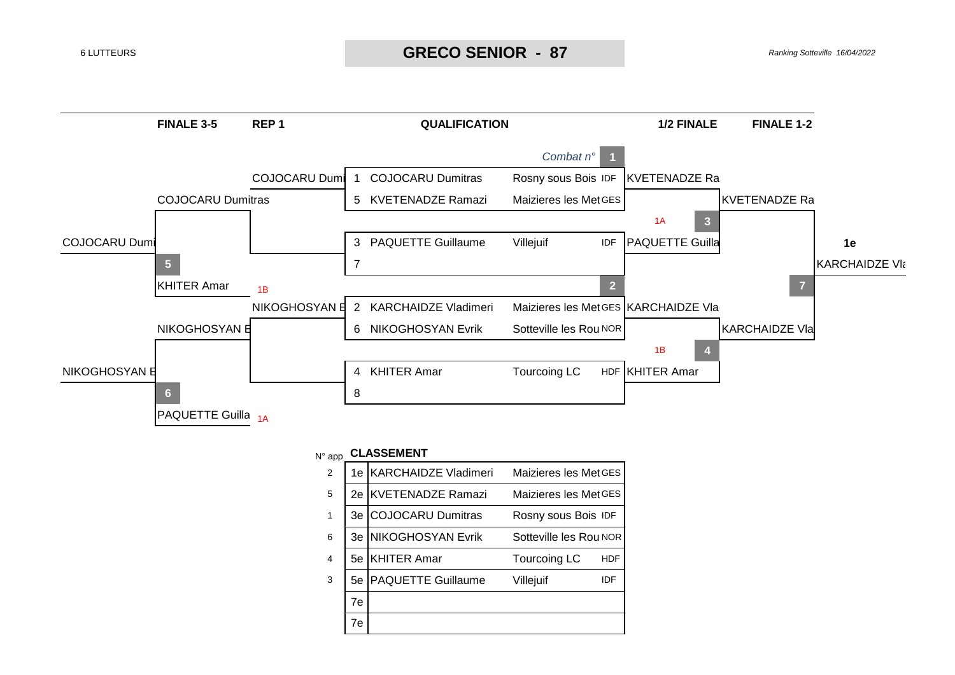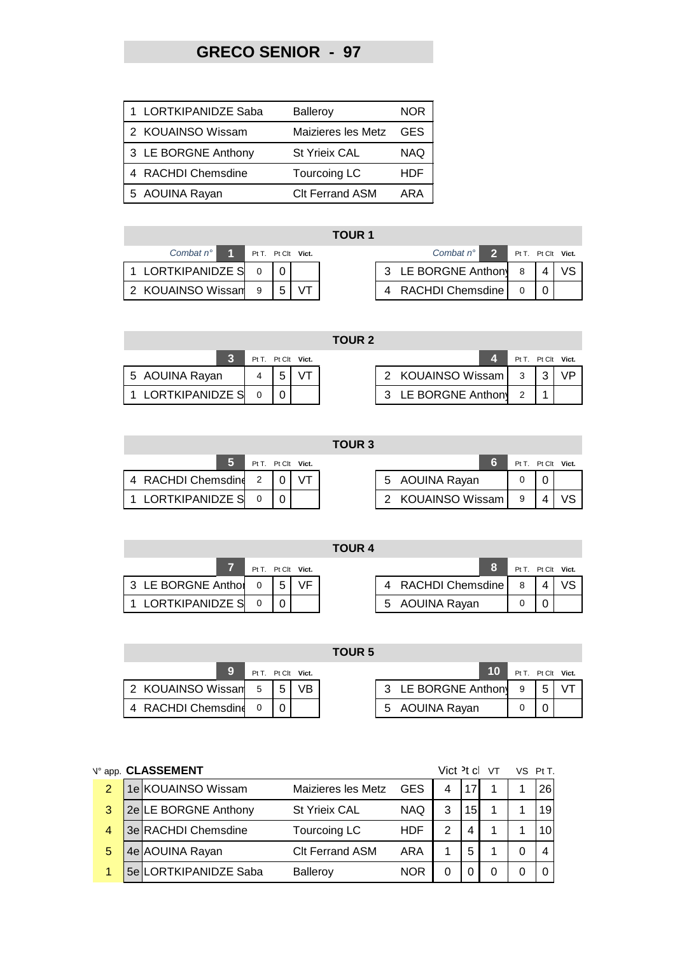# **GRECO SENIOR - 97**

| 1 LORTKIPANIDZE Saba | <b>Balleroy</b>        | <b>NOR</b> |
|----------------------|------------------------|------------|
| 2 KOUAINSO Wissam    | Maizieres les Metz     | <b>GFS</b> |
| 3 LE BORGNE Anthony  | <b>St Yrieix CAL</b>   | <b>NAQ</b> |
| 4 RACHDI Chemsdine   | <b>Tourcoing LC</b>    | HDE        |
| AOUINA Rayan         | <b>CIt Ferrand ASM</b> | ARA        |

## **TOUR 1**

**TOUR 2**

| Combat $n^{\circ}$  | Pt T. Pt Clt Vict. |     |  | - 2<br>Combat $n^{\circ}$ | $PtT.$ Pt (             |  |
|---------------------|--------------------|-----|--|---------------------------|-------------------------|--|
| 1 LORTKIPANIDZE S 0 |                    |     |  | 3 LE BORGNE Anthon 8   4  |                         |  |
| 2 KOUAINSO Wissan 9 |                    | 151 |  | 4 RACHDI Chemsdine        | $\circ$ $\circ$ $\circ$ |  |

| Combat $n^{\circ}$      | <b>Pt T. Pt Cit Vict.</b> |  | Combat $n^{\circ}$ 2 Pt T. Pt Clt Vict. |  |  |
|-------------------------|---------------------------|--|-----------------------------------------|--|--|
| 1 LORTKIPANIDZE S 0 0 0 |                           |  | 3 LE BORGNE Anthony 8   4               |  |  |
| 2 KOUAINSO Wissan 9   5 |                           |  | 4 RACHDI Chemsdine                      |  |  |

|                   |  |                    | IUUR Z |                     |               |     |
|-------------------|--|--------------------|--------|---------------------|---------------|-----|
|                   |  | Pt T. Pt Clt Vict. |        |                     | $PtT.$ Pt $C$ |     |
| 5 AOUINA Rayan    |  |                    |        | 2 KOUAINSO Wissam 3 |               | l 3 |
| 1 LORTKIPANIDZE S |  |                    |        | 3 LE BORGNE Anthony |               |     |

|                   |  | Pt T. Pt Clt Vict. |                     |                |  |    |  |  |  |
|-------------------|--|--------------------|---------------------|----------------|--|----|--|--|--|
| 5 AOUINA Rayan    |  |                    | KOUAINSO Wissam     | $\overline{3}$ |  | VP |  |  |  |
| 1 LORTKIPANIDZE S |  |                    | 3 LE BORGNE Anthony |                |  |    |  |  |  |

|                      |  |                    | uun j |                   |                |   |
|----------------------|--|--------------------|-------|-------------------|----------------|---|
|                      |  | Pt T. Pt Clt Vict. |       |                   | $PtT$ $Pt$ $($ |   |
| 4 RACHDI Chemsdine 2 |  |                    |       | 5 AOUINA Rayan    |                |   |
| 1 LORTKIPANIDZE S    |  |                    |       | 2 KOUAINSO Wissam | 9              | Δ |

**T** 

|                      |                    |  | TOUR 3 |                   |                    |  |
|----------------------|--------------------|--|--------|-------------------|--------------------|--|
|                      | Pt T. Pt Clt Vict. |  |        |                   | Pt T. Pt Clt Vict. |  |
| 4 RACHDI Chemsdine 2 |                    |  |        | 5 AOUINA Rayan    |                    |  |
| 1 LORTKIPANIDZE S    |                    |  |        | 2 KOUAINSO Wissam | - 9                |  |

|                    |  |                    | <b>TOUR 4</b> |                    |                    |  |
|--------------------|--|--------------------|---------------|--------------------|--------------------|--|
|                    |  | Pt T. Pt Clt Vict. |               |                    | Pt T. Pt Clt Vict. |  |
| 3 LE BORGNE Anthol |  | VF                 |               | 4 RACHDI Chemsdine |                    |  |
| LORTKIPANIDZE S    |  |                    |               | 5 AOUINA Rayan     |                    |  |

|                     |                |                    | <b>TOUR 5</b> |                     |    |                    |                |  |
|---------------------|----------------|--------------------|---------------|---------------------|----|--------------------|----------------|--|
|                     |                | Pt T. Pt Clt Vict. |               |                     | 10 | Pt T. Pt Clt Vict. |                |  |
| 2 KOUAINSO Wissam 5 | 5 <sub>1</sub> | VB.                |               | 3 LE BORGNE Anthony |    | 9                  | 5 <sub>1</sub> |  |
| 4 RACHDI Chemsdine  |                |                    |               | 5 AOUINA Rayan      |    |                    |                |  |

|                | N° app. CLASSEMENT    |                        |            | Vict <sup>2</sup> t cl |                 | VT | VS Pt T |
|----------------|-----------------------|------------------------|------------|------------------------|-----------------|----|---------|
| $\overline{2}$ | 1e KOUAINSO Wissam    | Maizieres les Metz     | <b>GES</b> |                        |                 |    | 26      |
| 3              | 2e LE BORGNE Anthony  | <b>St Yrieix CAL</b>   | <b>NAQ</b> | 3                      | 15 <sub>l</sub> |    | 19      |
| 4              | 3e RACHDI Chemsdine   | Tourcoing LC           | <b>HDF</b> | っ                      | 4               |    |         |
| 5              | 4e AOUINA Rayan       | <b>CIt Ferrand ASM</b> | ARA        |                        | 5               |    | 4       |
|                | 5e LORTKIPANIDZE Saba | <b>Balleroy</b>        | <b>NOR</b> |                        |                 |    |         |